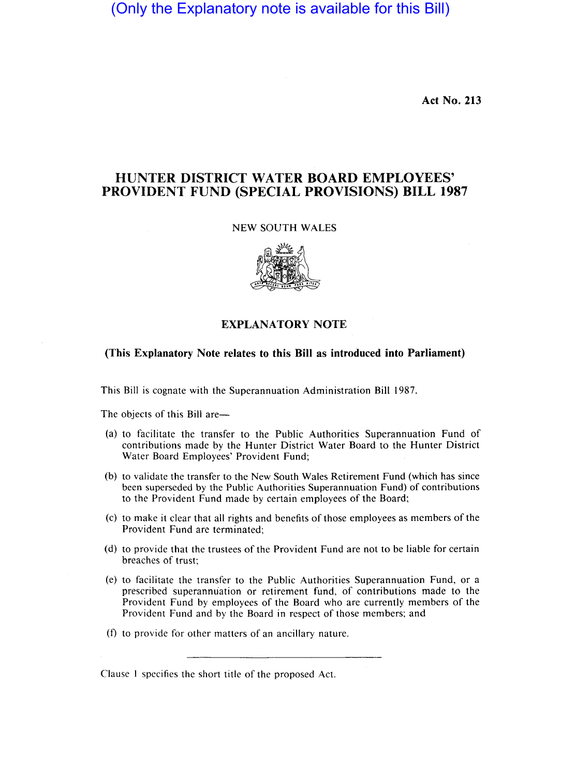(Only the Explanatory note is available for this Bill)

**Act No. 213** 

# **HUNTER DISTRICT WATER BOARD EMPLOYEES' PROVIDENT FUND (SPECIAL PROVISIONS) BILL 1987**

#### NEW SOUTH WALES



### **EXPLANATORY NOTE**

# **(This Explanatory Note relates to this Bill as introduced into Parliament)**

This Bill is cognate with the Superannuation Administration Bill 1987.

The objects of this Bill are—

- (a) to facilitate the transfer to the Public Authorities Superannuation Fund of contributions made by the Hunter District Water Board to the Hunter District Water Board Employees' Provident Fund;
- (b) to validate the transfer to the New South Wales Retirement Fund (which has since been superseded by the Public Authorities Superannuation Fund) of contributions to the Provident Fund made by certain employees of the Board;
- (c) to make it clear that all rights and benefits of those employees as members of the Provident Fund are terminated;
- (d) to provide that the trustees of the Provident Fund are not to be liable for certain breaches of trust;
- (e) to facilitate the transfer to the Public Authorities Superannuation Fund, or a prescribed superannuation or retirement fund, of contributions made to the Provident Fund by employees of the Board who are currently members of the Provident Fund and by the Board in respect of those members; and
- (f) to provide for other matters of an ancillary nature.

Clause 1 specifies the short title of the proposed Act.